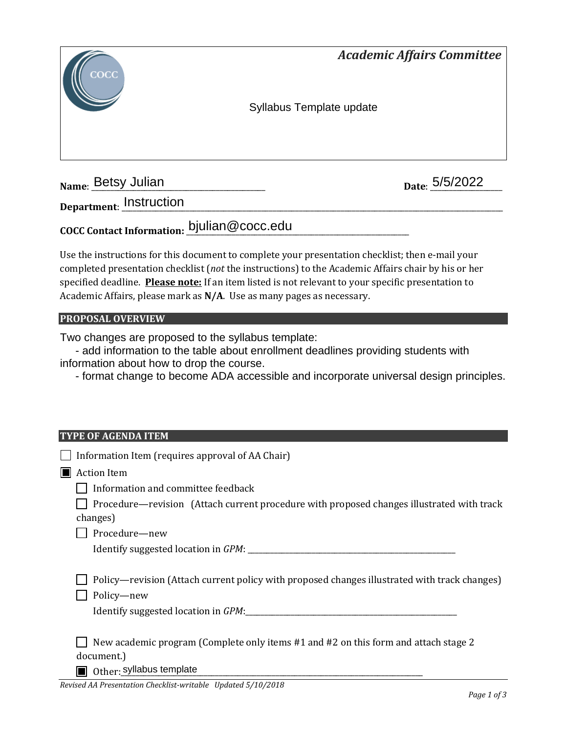

**Name: Betsy Julian** 

Date: 5/5/2022

**Department**: \_\_\_\_\_\_\_\_\_\_\_\_\_\_\_\_\_\_\_\_\_\_\_\_\_\_\_\_\_\_\_\_\_\_\_\_\_\_\_\_\_\_\_\_\_\_\_\_\_\_\_\_\_\_\_\_\_\_\_\_\_\_\_\_\_\_\_\_\_\_\_\_\_\_\_\_\_\_\_\_\_\_\_\_\_\_\_\_\_\_\_\_\_\_\_\_\_\_\_\_\_ Instruction

**COCC Contact Information:** \_\_\_\_\_\_\_\_\_\_\_\_\_\_\_\_\_\_\_\_\_\_\_\_\_\_\_\_\_\_\_\_\_\_\_\_\_\_\_\_\_\_\_\_\_\_\_\_\_\_\_\_\_\_\_\_\_\_\_ bjulian@cocc.edu

Use the instructions for this document to complete your presentation checklist; then e-mail your completed presentation checklist (*not* the instructions) to the Academic Affairs chair by his or her specified deadline. **Please note:** If an item listed is not relevant to your specific presentation to Academic Affairs, please mark as **N/A**. Use as many pages as necessary.

### **PROPOSAL OVERVIEW**

Two changes are proposed to the syllabus template:

 - add information to the table about enrollment deadlines providing students with information about how to drop the course.

- format change to become ADA accessible and incorporate universal design principles.

#### **TYPE OF AGENDA ITEM**

|   | Information Item (requires approval of AA Chair)                                                                              |  |
|---|-------------------------------------------------------------------------------------------------------------------------------|--|
| ◨ | <b>Action Item</b>                                                                                                            |  |
|   | Information and committee feedback                                                                                            |  |
|   | Procedure—revision (Attach current procedure with proposed changes illustrated with track<br>changes)                         |  |
|   | Procedure-new                                                                                                                 |  |
|   |                                                                                                                               |  |
|   | Policy—revision (Attach current policy with proposed changes illustrated with track changes)<br>Policy-new                    |  |
|   | New academic program (Complete only items #1 and #2 on this form and attach stage 2<br>document.)<br>Other: syllabus template |  |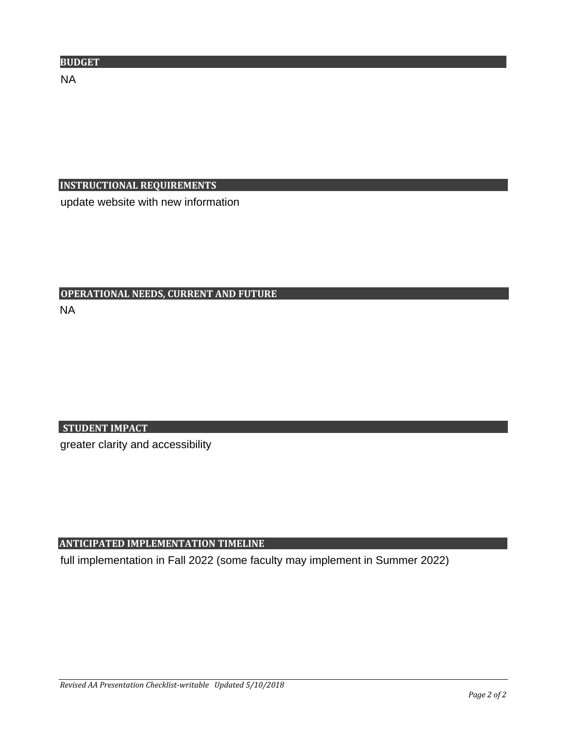# **INSTRUCTIONAL REQUIREMENTS**

update website with new information

# **OPERATIONAL NEEDS, CURRENT AND FUTURE**

NA

# **STUDENT IMPACT**

greater clarity and accessibility

# **ANTICIPATED IMPLEMENTATION TIMELINE**

full implementation in Fall 2022 (some faculty may implement in Summer 2022)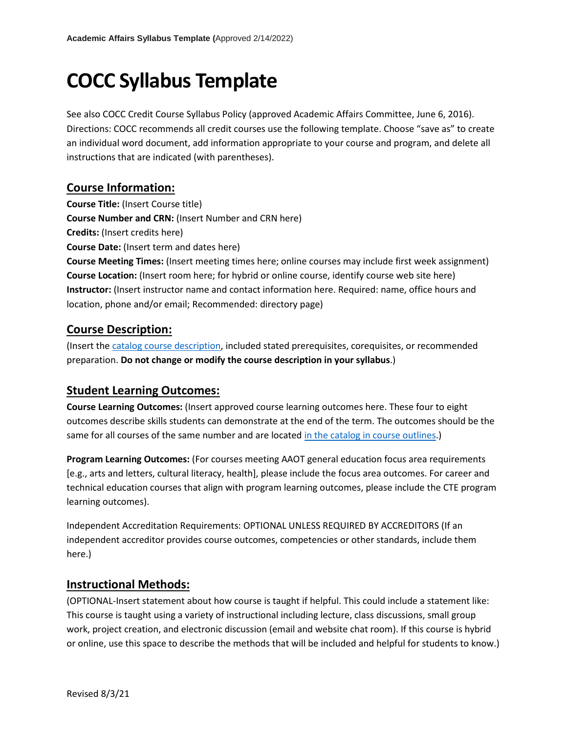# **COCC Syllabus Template**

See also COCC Credit Course Syllabus Policy (approved Academic Affairs Committee, June 6, 2016). Directions: COCC recommends all credit courses use the following template. Choose "save as" to create an individual word document, add information appropriate to your course and program, and delete all instructions that are indicated (with parentheses).

# **Course Information:**

**Course Title:** (Insert Course title)

**Course Number and CRN:** (Insert Number and CRN here)

**Credits:** (Insert credits here)

**Course Date:** (Insert term and dates here)

**Course Meeting Times:** (Insert meeting times here; online courses may include first week assignment) **Course Location:** (Insert room here; for hybrid or online course, identify course web site here) **Instructor:** (Insert instructor name and contact information here. Required: name, office hours and location, phone and/or email; Recommended: directory page)

# **Course Description:**

(Insert the [catalog course](https://catalog.cocc.edu/course-descriptions/) description, included stated prerequisites, corequisites, or recommended preparation. **Do not change or modify the course description in your syllabus**.)

# **Student Learning Outcomes:**

**Course Learning Outcomes:** (Insert approved course learning outcomes here. These four to eight outcomes describe skills students can demonstrate at the end of the term. The outcomes should be the same for all courses of the same number and are locate[d in the catalog in](https://catalog.cocc.edu/course-descriptions/) course outlines.)

**Program Learning Outcomes:** (For courses meeting AAOT general education focus area requirements [e.g., arts and letters, cultural literacy, health], please include the focus area outcomes. For career and technical education courses that align with program learning outcomes, please include the CTE program learning outcomes).

Independent Accreditation Requirements: OPTIONAL UNLESS REQUIRED BY ACCREDITORS (If an independent accreditor provides course outcomes, competencies or other standards, include them here.)

# **Instructional Methods:**

(OPTIONAL-Insert statement about how course is taught if helpful. This could include a statement like: This course is taught using a variety of instructional including lecture, class discussions, small group work, project creation, and electronic discussion (email and website chat room). If this course is hybrid or online, use this space to describe the methods that will be included and helpful for students to know.)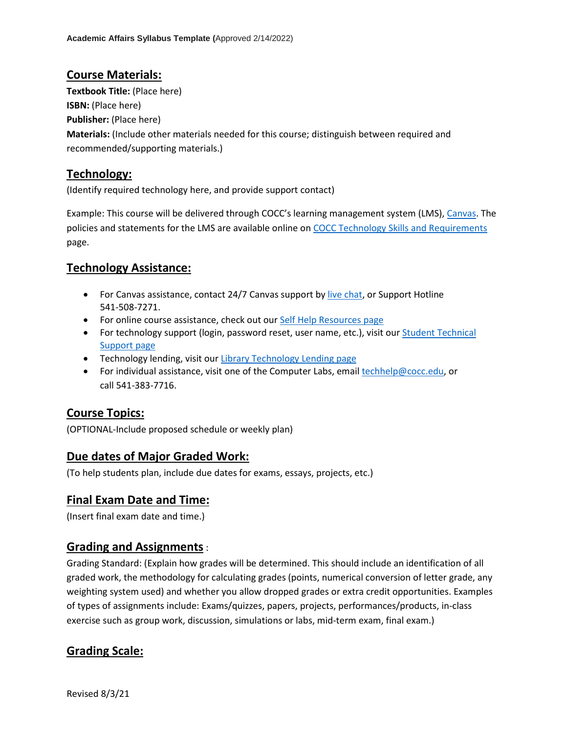## **Course Materials:**

**Textbook Title:** (Place here) **ISBN:** (Place here) **Publisher:** (Place here) **Materials:** (Include other materials needed for this course; distinguish between required and recommended/supporting materials.)

# **Technology:**

(Identify required technology here, and provide support contact)

Example: This course will be delivered through COCC's learning management system (LMS)[, Canvas.](https://cocc.instructure.com/) The policies and statements for the LMS are available online on [COCC Technology Skills and Requirements](https://www.cocc.edu/departments/elearning/student-online-resources/technology-skills-and-requirements.aspx) page.

# **Technology Assistance:**

- For Canvas assistance, contact 24/7 Canvas support by [live chat,](https://cases.canvaslms.com/liveagentchat?chattype=student&sfid=001A000000YOAAvIAPhttps://cases.canvaslms.com/liveagentchat?chattype=student&sfid=001A000000YOAAvIAP) or Support Hotline 541-508-7271.
- For online course assistance, check out ou[r Self Help Resources page](https://www.cocc.edu/departments/elearning/student-online-resources/default.aspx)
- For technology support (login, password reset, user name, etc.), visit our **Student Technical** [Support page](https://www.cocc.edu/departments/its/student-tech-support/)
- Technology lending, visit ou[r Library Technology Lending page](https://guides.cocc.edu/technology)
- For individual assistance, visit one of the Computer Labs, email [techhelp@cocc.edu,](mailto:techhelp@cocc.edu) or call 541-383-7716.

# **Course Topics:**

(OPTIONAL-Include proposed schedule or weekly plan)

# **Due dates of Major Graded Work:**

(To help students plan, include due dates for exams, essays, projects, etc.)

# **Final Exam Date and Time:**

(Insert final exam date and time.)

# **Grading and Assignments**:

Grading Standard: (Explain how grades will be determined. This should include an identification of all graded work, the methodology for calculating grades (points, numerical conversion of letter grade, any weighting system used) and whether you allow dropped grades or extra credit opportunities. Examples of types of assignments include: Exams/quizzes, papers, projects, performances/products, in-class exercise such as group work, discussion, simulations or labs, mid-term exam, final exam.)

# **Grading Scale:**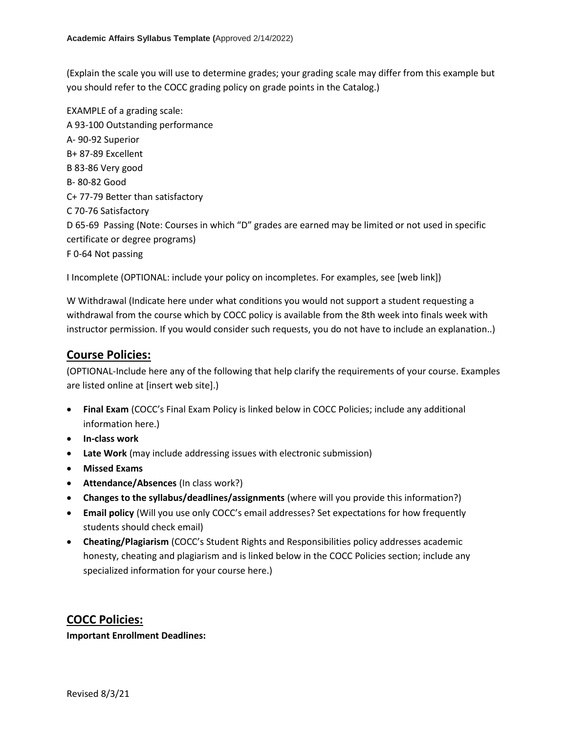(Explain the scale you will use to determine grades; your grading scale may differ from this example but you should refer to the COCC grading policy on grade points in the Catalog.)

EXAMPLE of a grading scale: A 93-100 Outstanding performance A- 90-92 Superior B+ 87-89 Excellent B 83-86 Very good B- 80-82 Good C+ 77-79 Better than satisfactory C 70-76 Satisfactory D 65-69 Passing (Note: Courses in which "D" grades are earned may be limited or not used in specific certificate or degree programs) F 0-64 Not passing

I Incomplete (OPTIONAL: include your policy on incompletes. For examples, see [web link])

W Withdrawal (Indicate here under what conditions you would not support a student requesting a withdrawal from the course which by COCC policy is available from the 8th week into finals week with instructor permission. If you would consider such requests, you do not have to include an explanation..)

# **Course Policies:**

(OPTIONAL-Include here any of the following that help clarify the requirements of your course. Examples are listed online at [insert web site].)

- **Final Exam** (COCC's Final Exam Policy is linked below in COCC Policies; include any additional information here.)
- **In-class work**
- **Late Work** (may include addressing issues with electronic submission)
- **Missed Exams**
- **Attendance/Absences** (In class work?)
- **Changes to the syllabus/deadlines/assignments** (where will you provide this information?)
- **Email policy** (Will you use only COCC's email addresses? Set expectations for how frequently students should check email)
- **Cheating/Plagiarism** (COCC's Student Rights and Responsibilities policy addresses academic honesty, cheating and plagiarism and is linked below in the COCC Policies section; include any specialized information for your course here.)

**COCC Policies:**

**Important Enrollment Deadlines:**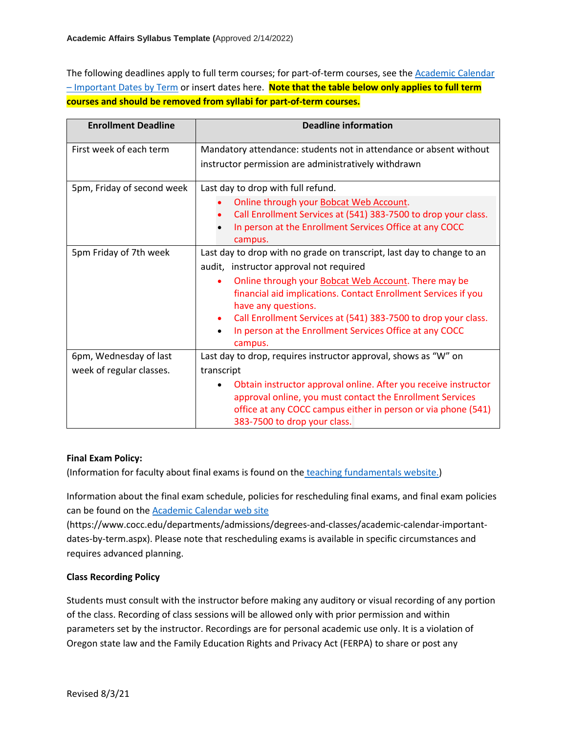The following deadlines apply to full term courses; for part-of-term courses, see the [Academic Calendar](https://www.cocc.edu/departments/admissions/degrees-and-classes/academic-calendar-important-dates-by-term.aspx)  – [Important Dates by Term](https://www.cocc.edu/departments/admissions/degrees-and-classes/academic-calendar-important-dates-by-term.aspx) or insert dates here. **Note that the table below only applies to full term courses and should be removed from syllabi for part-of-term courses.**

| <b>Enrollment Deadline</b> | <b>Deadline information</b>                                                                                                                                                                                                   |
|----------------------------|-------------------------------------------------------------------------------------------------------------------------------------------------------------------------------------------------------------------------------|
| First week of each term    | Mandatory attendance: students not in attendance or absent without                                                                                                                                                            |
|                            | instructor permission are administratively withdrawn                                                                                                                                                                          |
| 5pm, Friday of second week | Last day to drop with full refund.                                                                                                                                                                                            |
|                            | Online through your Bobcat Web Account.                                                                                                                                                                                       |
|                            | Call Enrollment Services at (541) 383-7500 to drop your class.                                                                                                                                                                |
|                            | In person at the Enrollment Services Office at any COCC<br>campus.                                                                                                                                                            |
| 5pm Friday of 7th week     | Last day to drop with no grade on transcript, last day to change to an                                                                                                                                                        |
|                            | audit, instructor approval not required                                                                                                                                                                                       |
|                            | Online through your Bobcat Web Account. There may be<br>$\bullet$<br>financial aid implications. Contact Enrollment Services if you<br>have any questions.                                                                    |
|                            | Call Enrollment Services at (541) 383-7500 to drop your class.<br>$\bullet$<br>In person at the Enrollment Services Office at any COCC<br>$\bullet$<br>campus.                                                                |
| 6pm, Wednesday of last     | Last day to drop, requires instructor approval, shows as "W" on                                                                                                                                                               |
| week of regular classes.   | transcript                                                                                                                                                                                                                    |
|                            | Obtain instructor approval online. After you receive instructor<br>approval online, you must contact the Enrollment Services<br>office at any COCC campus either in person or via phone (541)<br>383-7500 to drop your class. |

#### **Final Exam Policy:**

(Information for faculty about final exams is found on the [teaching fundamentals website.\)](https://intranet.ad.cocc.edu/departments/instruction/teaching-fundamentals/final-exam-policy.aspx)

Information about the final exam schedule, policies for rescheduling final exams, and final exam policies can be found on the [Academic Calendar web site](https://www.cocc.edu/departments/admissions/degrees-and-classes/academic-calendar-important-dates-by-term.aspx)

(https://www.cocc.edu/departments/admissions/degrees-and-classes/academic-calendar-importantdates-by-term.aspx). Please note that rescheduling exams is available in specific circumstances and requires advanced planning.

#### **Class Recording Policy**

Students must consult with the instructor before making any auditory or visual recording of any portion of the class. Recording of class sessions will be allowed only with prior permission and within parameters set by the instructor. Recordings are for personal academic use only. It is a violation of Oregon state law and the Family Education Rights and Privacy Act (FERPA) to share or post any